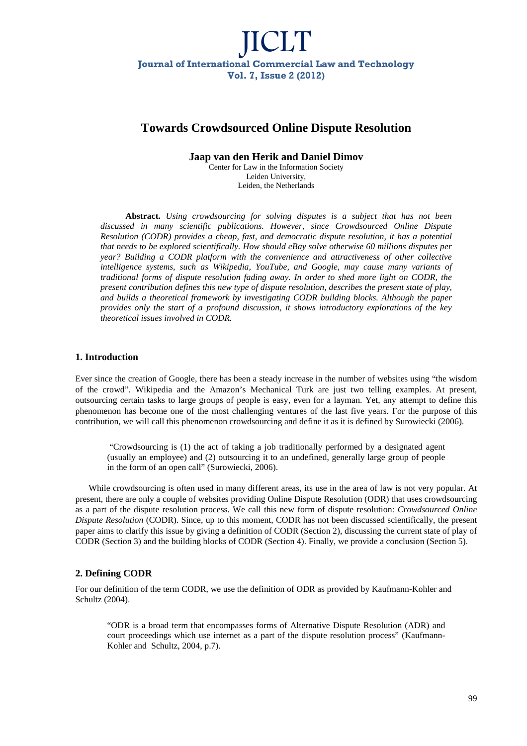## **Towards Crowdsourced Online Dispute Resolution**

**Jaap van den Herik and Daniel Dimov** 

Center for Law in the Information Society Leiden University, Leiden, the Netherlands

**Abstract.** *Using crowdsourcing for solving disputes is a subject that has not been discussed in many scientific publications. However, since Crowdsourced Online Dispute Resolution (CODR) provides a cheap, fast, and democratic dispute resolution, it has a potential that needs to be explored scientifically. How should eBay solve otherwise 60 millions disputes per year? Building a CODR platform with the convenience and attractiveness of other collective intelligence systems, such as Wikipedia, YouTube, and Google, may cause many variants of traditional forms of dispute resolution fading away. In order to shed more light on CODR, the present contribution defines this new type of dispute resolution, describes the present state of play, and builds a theoretical framework by investigating CODR building blocks. Although the paper provides only the start of a profound discussion, it shows introductory explorations of the key theoretical issues involved in CODR.*

### **1. Introduction**

Ever since the creation of Google, there has been a steady increase in the number of websites using "the wisdom of the crowd". Wikipedia and the Amazon's Mechanical Turk are just two telling examples. At present, outsourcing certain tasks to large groups of people is easy, even for a layman. Yet, any attempt to define this phenomenon has become one of the most challenging ventures of the last five years. For the purpose of this contribution, we will call this phenomenon crowdsourcing and define it as it is defined by Surowiecki (2006).

 "Crowdsourcing is (1) the act of taking a job traditionally performed by a designated agent (usually an employee) and (2) outsourcing it to an undefined, generally large group of people in the form of an open call" (Surowiecki, 2006).

While crowdsourcing is often used in many different areas, its use in the area of law is not very popular. At present, there are only a couple of websites providing Online Dispute Resolution (ODR) that uses crowdsourcing as a part of the dispute resolution process. We call this new form of dispute resolution: *Crowdsourced Online Dispute Resolution* (CODR). Since, up to this moment, CODR has not been discussed scientifically, the present paper aims to clarify this issue by giving a definition of CODR (Section 2), discussing the current state of play of CODR (Section 3) and the building blocks of CODR (Section 4). Finally, we provide a conclusion (Section 5).

## **2. Defining CODR**

For our definition of the term CODR, we use the definition of ODR as provided by Kaufmann-Kohler and Schultz (2004).

"ODR is a broad term that encompasses forms of Alternative Dispute Resolution (ADR) and court proceedings which use internet as a part of the dispute resolution process" (Kaufmann-Kohler and Schultz, 2004, p.7).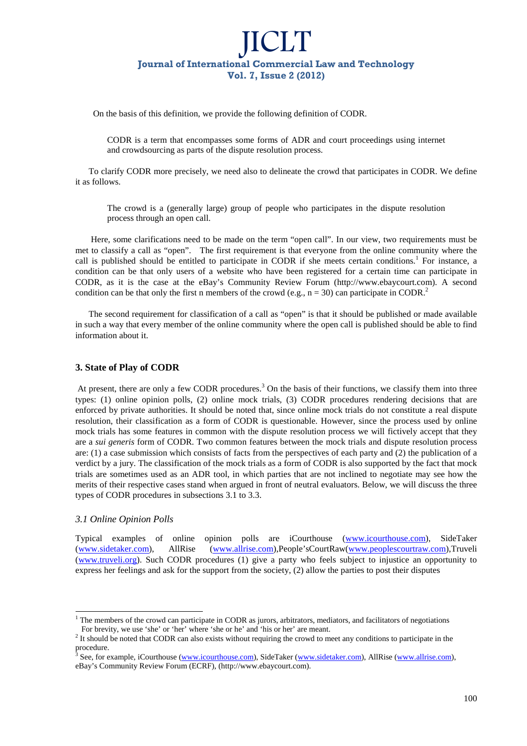On the basis of this definition, we provide the following definition of CODR.

CODR is a term that encompasses some forms of ADR and court proceedings using internet and crowdsourcing as parts of the dispute resolution process.

To clarify CODR more precisely, we need also to delineate the crowd that participates in CODR. We define it as follows.

The crowd is a (generally large) group of people who participates in the dispute resolution process through an open call.

 Here, some clarifications need to be made on the term "open call". In our view, two requirements must be met to classify a call as "open". The first requirement is that everyone from the online community where the call is published should be entitled to participate in CODR if she meets certain conditions.<sup>1</sup> For instance, a condition can be that only users of a website who have been registered for a certain time can participate in CODR, as it is the case at the eBay's Community Review Forum (http://www.ebaycourt.com). A second condition can be that only the first n members of the crowd (e.g.,  $n = 30$ ) can participate in CODR.<sup>2</sup>

The second requirement for classification of a call as "open" is that it should be published or made available in such a way that every member of the online community where the open call is published should be able to find information about it.

### **3. State of Play of CODR**

At present, there are only a few CODR procedures.<sup>3</sup> On the basis of their functions, we classify them into three types: (1) online opinion polls, (2) online mock trials, (3) CODR procedures rendering decisions that are enforced by private authorities. It should be noted that, since online mock trials do not constitute a real dispute resolution, their classification as a form of CODR is questionable. However, since the process used by online mock trials has some features in common with the dispute resolution process we will fictively accept that they are a *sui generis* form of CODR. Two common features between the mock trials and dispute resolution process are: (1) a case submission which consists of facts from the perspectives of each party and (2) the publication of a verdict by a jury. The classification of the mock trials as a form of CODR is also supported by the fact that mock trials are sometimes used as an ADR tool, in which parties that are not inclined to negotiate may see how the merits of their respective cases stand when argued in front of neutral evaluators. Below, we will discuss the three types of CODR procedures in subsections 3.1 to 3.3.

#### *3.1 Online Opinion Polls*

l

Typical examples of online opinion polls are iCourthouse (www.icourthouse.com), SideTaker (www.sidetaker.com), AllRise (www.allrise.com),People'sCourtRaw(www.peoplescourtraw.com),Truveli (www.truveli.org). Such CODR procedures (1) give a party who feels subject to injustice an opportunity to express her feelings and ask for the support from the society, (2) allow the parties to post their disputes

<sup>&</sup>lt;sup>1</sup> The members of the crowd can participate in CODR as jurors, arbitrators, mediators, and facilitators of negotiations For brevity, we use 'she' or 'her' where 'she or he' and 'his or her' are meant.

<sup>&</sup>lt;sup>2</sup> It should be noted that CODR can also exists without requiring the crowd to meet any conditions to participate in the procedure.<br><sup>3</sup> See for ex

See, for example, iCourthouse (www.icourthouse.com), SideTaker (www.sidetaker.com), AllRise (www.allrise.com), eBay's Community Review Forum (ECRF), (http://www.ebaycourt.com).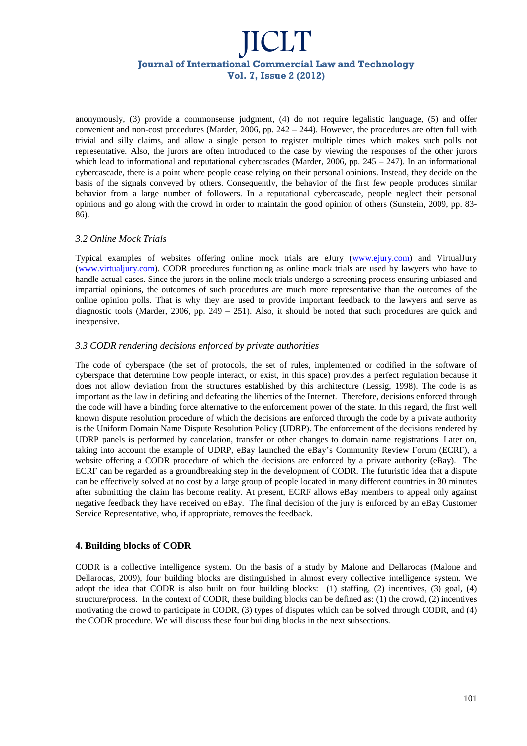anonymously, (3) provide a commonsense judgment, (4) do not require legalistic language, (5) and offer convenient and non-cost procedures (Marder, 2006, pp. 242 – 244). However, the procedures are often full with trivial and silly claims, and allow a single person to register multiple times which makes such polls not representative. Also, the jurors are often introduced to the case by viewing the responses of the other jurors which lead to informational and reputational cybercascades (Marder, 2006, pp.  $245 - 247$ ). In an informational cybercascade, there is a point where people cease relying on their personal opinions. Instead, they decide on the basis of the signals conveyed by others. Consequently, the behavior of the first few people produces similar behavior from a large number of followers. In a reputational cybercascade, people neglect their personal opinions and go along with the crowd in order to maintain the good opinion of others (Sunstein, 2009, pp. 83- 86).

## *3.2 Online Mock Trials*

Typical examples of websites offering online mock trials are eJury (www.ejury.com) and VirtualJury (www.virtualjury.com). CODR procedures functioning as online mock trials are used by lawyers who have to handle actual cases. Since the jurors in the online mock trials undergo a screening process ensuring unbiased and impartial opinions, the outcomes of such procedures are much more representative than the outcomes of the online opinion polls. That is why they are used to provide important feedback to the lawyers and serve as diagnostic tools (Marder, 2006, pp.  $249 - 251$ ). Also, it should be noted that such procedures are quick and inexpensive.

### *3.3 CODR rendering decisions enforced by private authorities*

The code of cyberspace (the set of protocols, the set of rules, implemented or codified in the software of cyberspace that determine how people interact, or exist, in this space) provides a perfect regulation because it does not allow deviation from the structures established by this architecture (Lessig, 1998). The code is as important as the law in defining and defeating the liberties of the Internet. Therefore, decisions enforced through the code will have a binding force alternative to the enforcement power of the state. In this regard, the first well known dispute resolution procedure of which the decisions are enforced through the code by a private authority is the Uniform Domain Name Dispute Resolution Policy (UDRP). The enforcement of the decisions rendered by UDRP panels is performed by cancelation, transfer or other changes to domain name registrations. Later on, taking into account the example of UDRP, eBay launched the eBay's Community Review Forum (ECRF), a website offering a CODR procedure of which the decisions are enforced by a private authority (eBay). The ECRF can be regarded as a groundbreaking step in the development of CODR. The futuristic idea that a dispute can be effectively solved at no cost by a large group of people located in many different countries in 30 minutes after submitting the claim has become reality. At present, ECRF allows eBay members to appeal only against negative feedback they have received on eBay. The final decision of the jury is enforced by an eBay Customer Service Representative, who, if appropriate, removes the feedback.

## **4. Building blocks of CODR**

CODR is a collective intelligence system. On the basis of a study by Malone and Dellarocas (Malone and Dellarocas, 2009), four building blocks are distinguished in almost every collective intelligence system. We adopt the idea that CODR is also built on four building blocks: (1) staffing, (2) incentives, (3) goal, (4) structure/process. In the context of CODR, these building blocks can be defined as: (1) the crowd, (2) incentives motivating the crowd to participate in CODR, (3) types of disputes which can be solved through CODR, and (4) the CODR procedure. We will discuss these four building blocks in the next subsections.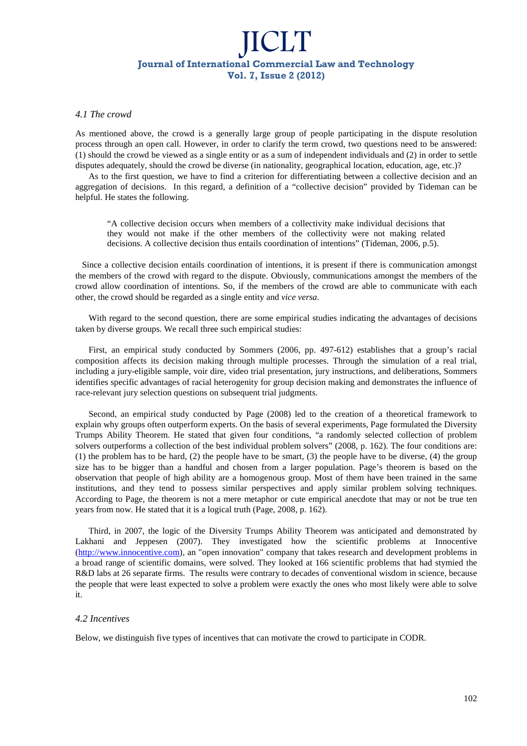#### *4.1 The crowd*

As mentioned above, the crowd is a generally large group of people participating in the dispute resolution process through an open call. However, in order to clarify the term crowd, two questions need to be answered: (1) should the crowd be viewed as a single entity or as a sum of independent individuals and (2) in order to settle disputes adequately, should the crowd be diverse (in nationality, geographical location, education, age, etc.)?

As to the first question, we have to find a criterion for differentiating between a collective decision and an aggregation of decisions. In this regard, a definition of a "collective decision" provided by Tideman can be helpful. He states the following.

"A collective decision occurs when members of a collectivity make individual decisions that they would not make if the other members of the collectivity were not making related decisions. A collective decision thus entails coordination of intentions" (Tideman, 2006, p.5).

 Since a collective decision entails coordination of intentions, it is present if there is communication amongst the members of the crowd with regard to the dispute. Obviously, communications amongst the members of the crowd allow coordination of intentions. So, if the members of the crowd are able to communicate with each other, the crowd should be regarded as a single entity and *vice versa*.

With regard to the second question, there are some empirical studies indicating the advantages of decisions taken by diverse groups. We recall three such empirical studies:

First, an empirical study conducted by Sommers (2006, pp. 497-612) establishes that a group's racial composition affects its decision making through multiple processes. Through the simulation of a real trial, including a jury-eligible sample, voir dire, video trial presentation, jury instructions, and deliberations, Sommers identifies specific advantages of racial heterogenity for group decision making and demonstrates the influence of race-relevant jury selection questions on subsequent trial judgments.

Second, an empirical study conducted by Page (2008) led to the creation of a theoretical framework to explain why groups often outperform experts. On the basis of several experiments, Page formulated the Diversity Trumps Ability Theorem. He stated that given four conditions, "a randomly selected collection of problem solvers outperforms a collection of the best individual problem solvers" (2008, p. 162). The four conditions are: (1) the problem has to be hard, (2) the people have to be smart, (3) the people have to be diverse, (4) the group size has to be bigger than a handful and chosen from a larger population. Page's theorem is based on the observation that people of high ability are a homogenous group. Most of them have been trained in the same institutions, and they tend to possess similar perspectives and apply similar problem solving techniques. According to Page, the theorem is not a mere metaphor or cute empirical anecdote that may or not be true ten years from now. He stated that it is a logical truth (Page, 2008, p. 162).

Third, in 2007, the logic of the Diversity Trumps Ability Theorem was anticipated and demonstrated by Lakhani and Jeppesen (2007). They investigated how the scientific problems at Innocentive (http://www.innocentive.com), an "open innovation" company that takes research and development problems in a broad range of scientific domains, were solved. They looked at 166 scientific problems that had stymied the R&D labs at 26 separate firms. The results were contrary to decades of conventional wisdom in science, because the people that were least expected to solve a problem were exactly the ones who most likely were able to solve it.

#### *4.2 Incentives*

Below, we distinguish five types of incentives that can motivate the crowd to participate in CODR.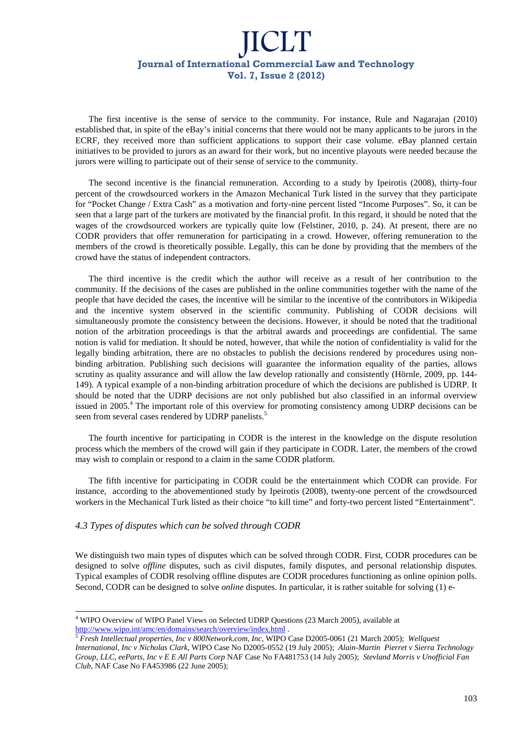The first incentive is the sense of service to the community. For instance, Rule and Nagarajan (2010) established that, in spite of the eBay's initial concerns that there would not be many applicants to be jurors in the ECRF, they received more than sufficient applications to support their case volume. eBay planned certain initiatives to be provided to jurors as an award for their work, but no incentive playouts were needed because the jurors were willing to participate out of their sense of service to the community.

The second incentive is the financial remuneration. According to a study by Ipeirotis (2008), thirty-four percent of the crowdsourced workers in the Amazon Mechanical Turk listed in the survey that they participate for "Pocket Change / Extra Cash" as a motivation and forty-nine percent listed "Income Purposes". So, it can be seen that a large part of the turkers are motivated by the financial profit. In this regard, it should be noted that the wages of the crowdsourced workers are typically quite low (Felstiner, 2010, p. 24). At present, there are no CODR providers that offer remuneration for participating in a crowd. However, offering remuneration to the members of the crowd is theoretically possible. Legally, this can be done by providing that the members of the crowd have the status of independent contractors.

The third incentive is the credit which the author will receive as a result of her contribution to the community. If the decisions of the cases are published in the online communities together with the name of the people that have decided the cases, the incentive will be similar to the incentive of the contributors in Wikipedia and the incentive system observed in the scientific community. Publishing of CODR decisions will simultaneously promote the consistency between the decisions. However, it should be noted that the traditional notion of the arbitration proceedings is that the arbitral awards and proceedings are confidential. The same notion is valid for mediation. It should be noted, however, that while the notion of confidentiality is valid for the legally binding arbitration, there are no obstacles to publish the decisions rendered by procedures using nonbinding arbitration. Publishing such decisions will guarantee the information equality of the parties, allows scrutiny as quality assurance and will allow the law develop rationally and consistently (Hörnle, 2009, pp. 144- 149). A typical example of a non-binding arbitration procedure of which the decisions are published is UDRP. It should be noted that the UDRP decisions are not only published but also classified in an informal overview issued in 2005.<sup>4</sup> The important role of this overview for promoting consistency among UDRP decisions can be seen from several cases rendered by UDRP panelists.<sup>5</sup>

The fourth incentive for participating in CODR is the interest in the knowledge on the dispute resolution process which the members of the crowd will gain if they participate in CODR. Later, the members of the crowd may wish to complain or respond to a claim in the same CODR platform.

The fifth incentive for participating in CODR could be the entertainment which CODR can provide. For instance, according to the abovementioned study by Ipeirotis (2008), twenty-one percent of the crowdsourced workers in the Mechanical Turk listed as their choice "to kill time" and forty-two percent listed "Entertainment".

### *4.3 Types of disputes which can be solved through CODR*

We distinguish two main types of disputes which can be solved through CODR. First, CODR procedures can be designed to solve *offline* disputes, such as civil disputes, family disputes, and personal relationship disputes. Typical examples of CODR resolving offline disputes are CODR procedures functioning as online opinion polls. Second, CODR can be designed to solve *online* disputes. In particular, it is rather suitable for solving (1) e-

l <sup>4</sup> WIPO Overview of WIPO Panel Views on Selected UDRP Questions (23 March 2005), available at http://www.wipo.int/amc/en/domains/search/overview/index.html .

<sup>5</sup> *Fresh Intellectual properties, Inc v 800Network.com, Inc*, WIPO Case D2005-0061 (21 March 2005); *Wellquest International, Inc v Nicholas Clark*, WIPO Case No D2005-0552 (19 July 2005); *Alain-Martin Pierret v Sierra Technology Group, LLC, eeParts, Inc v E E All Parts Corp* NAF Case No FA481753 (14 July 2005); *Stevland Morris v Unofficial Fan Club,* NAF Case No FA453986 (22 June 2005);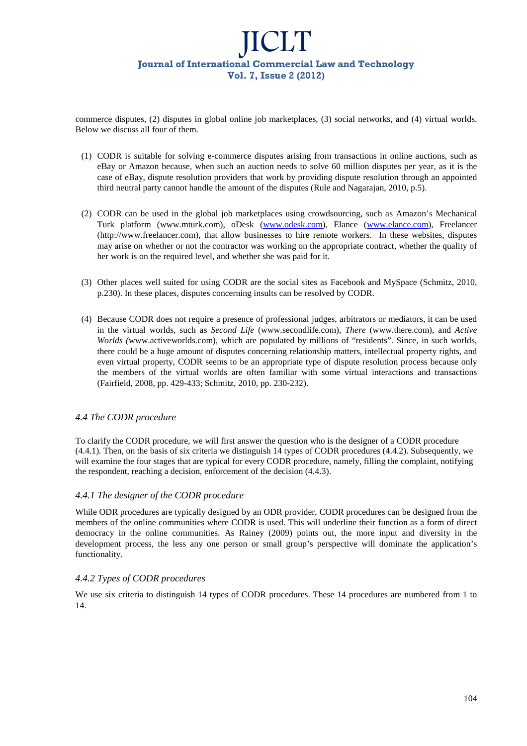commerce disputes, (2) disputes in global online job marketplaces, (3) social networks, and (4) virtual worlds. Below we discuss all four of them.

- (1) CODR is suitable for solving e-commerce disputes arising from transactions in online auctions, such as eBay or Amazon because, when such an auction needs to solve 60 million disputes per year, as it is the case of eBay, dispute resolution providers that work by providing dispute resolution through an appointed third neutral party cannot handle the amount of the disputes (Rule and Nagarajan, 2010, p.5).
- (2) CODR can be used in the global job marketplaces using crowdsourcing, such as Amazon's Mechanical Turk platform (www.mturk.com), oDesk (www.odesk.com), Elance (www.elance.com), Freelancer (http://www.freelancer.com), that allow businesses to hire remote workers. In these websites, disputes may arise on whether or not the contractor was working on the appropriate contract, whether the quality of her work is on the required level, and whether she was paid for it.
- (3) Other places well suited for using CODR are the social sites as Facebook and MySpace (Schmitz, 2010, p.230). In these places, disputes concerning insults can be resolved by CODR.
- (4) Because CODR does not require a presence of professional judges, arbitrators or mediators, it can be used in the virtual worlds, such as *Second Life* (www.secondlife.com), *There* (www.there.com), and *Active Worlds (*www.activeworlds.com), which are populated by millions of "residents". Since, in such worlds, there could be a huge amount of disputes concerning relationship matters, intellectual property rights, and even virtual property, CODR seems to be an appropriate type of dispute resolution process because only the members of the virtual worlds are often familiar with some virtual interactions and transactions (Fairfield, 2008, pp. 429-433; Schmitz, 2010, pp. 230-232).

## *4.4 The CODR procedure*

To clarify the CODR procedure, we will first answer the question who is the designer of a CODR procedure (4.4.1). Then, on the basis of six criteria we distinguish 14 types of CODR procedures (4.4.2). Subsequently, we will examine the four stages that are typical for every CODR procedure, namely, filling the complaint, notifying the respondent, reaching a decision, enforcement of the decision (4.4.3).

## *4.4.1 The designer of the CODR procedure*

While ODR procedures are typically designed by an ODR provider, CODR procedures can be designed from the members of the online communities where CODR is used. This will underline their function as a form of direct democracy in the online communities. As Rainey (2009) points out, the more input and diversity in the development process, the less any one person or small group's perspective will dominate the application's functionality.

## *4.4.2 Types of CODR procedures*

We use six criteria to distinguish 14 types of CODR procedures. These 14 procedures are numbered from 1 to 14.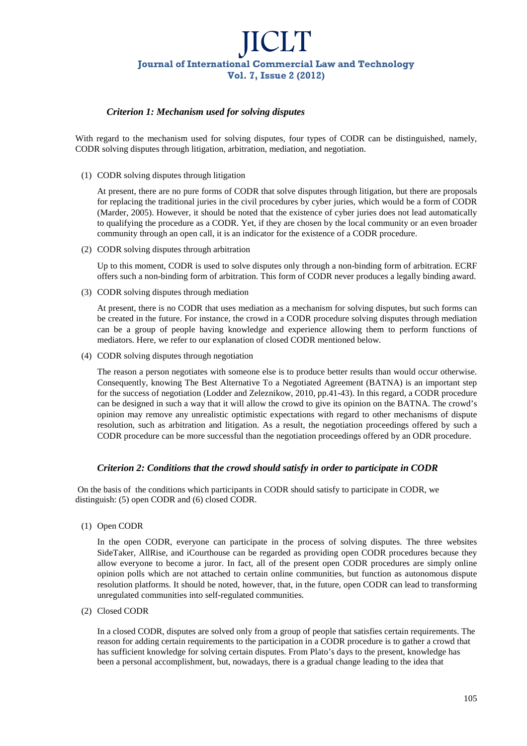## *Criterion 1: Mechanism used for solving disputes*

With regard to the mechanism used for solving disputes, four types of CODR can be distinguished, namely, CODR solving disputes through litigation, arbitration, mediation, and negotiation.

(1) CODR solving disputes through litigation

At present, there are no pure forms of CODR that solve disputes through litigation, but there are proposals for replacing the traditional juries in the civil procedures by cyber juries, which would be a form of CODR (Marder, 2005). However, it should be noted that the existence of cyber juries does not lead automatically to qualifying the procedure as a CODR. Yet, if they are chosen by the local community or an even broader community through an open call, it is an indicator for the existence of a CODR procedure.

(2) CODR solving disputes through arbitration

Up to this moment, CODR is used to solve disputes only through a non-binding form of arbitration. ECRF offers such a non-binding form of arbitration. This form of CODR never produces a legally binding award.

(3) CODR solving disputes through mediation

At present, there is no CODR that uses mediation as a mechanism for solving disputes, but such forms can be created in the future. For instance, the crowd in a CODR procedure solving disputes through mediation can be a group of people having knowledge and experience allowing them to perform functions of mediators. Here, we refer to our explanation of closed CODR mentioned below.

(4) CODR solving disputes through negotiation

The reason a person negotiates with someone else is to produce better results than would occur otherwise. Consequently, knowing The Best Alternative To a Negotiated Agreement (BATNA) is an important step for the success of negotiation (Lodder and Zeleznikow, 2010, pp.41-43). In this regard, a CODR procedure can be designed in such a way that it will allow the crowd to give its opinion on the BATNA. The crowd's opinion may remove any unrealistic optimistic expectations with regard to other mechanisms of dispute resolution, such as arbitration and litigation. As a result, the negotiation proceedings offered by such a CODR procedure can be more successful than the negotiation proceedings offered by an ODR procedure.

## *Criterion 2: Conditions that the crowd should satisfy in order to participate in CODR*

 On the basis of the conditions which participants in CODR should satisfy to participate in CODR, we distinguish: (5) open CODR and (6) closed CODR.

(1) Open CODR

In the open CODR, everyone can participate in the process of solving disputes. The three websites SideTaker, AllRise, and iCourthouse can be regarded as providing open CODR procedures because they allow everyone to become a juror. In fact, all of the present open CODR procedures are simply online opinion polls which are not attached to certain online communities, but function as autonomous dispute resolution platforms. It should be noted, however, that, in the future, open CODR can lead to transforming unregulated communities into self-regulated communities.

(2) Closed CODR

In a closed CODR, disputes are solved only from a group of people that satisfies certain requirements. The reason for adding certain requirements to the participation in a CODR procedure is to gather a crowd that has sufficient knowledge for solving certain disputes. From Plato's days to the present, knowledge has been a personal accomplishment, but, nowadays, there is a gradual change leading to the idea that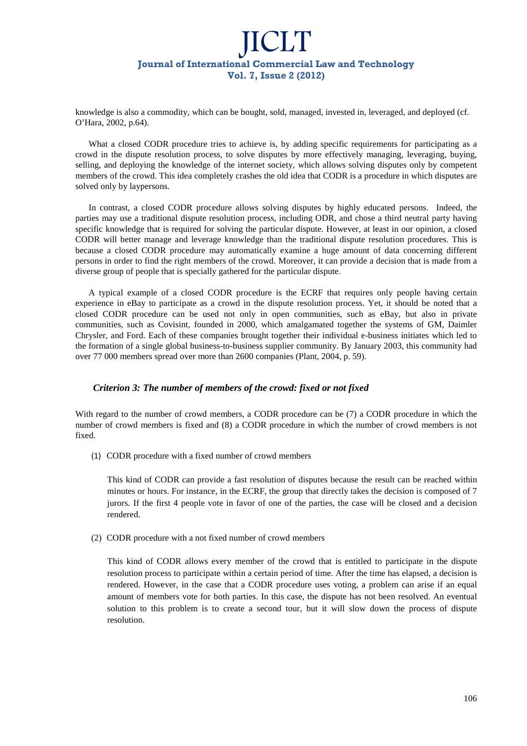knowledge is also a commodity, which can be bought, sold, managed, invested in, leveraged, and deployed (cf. O'Hara, 2002, p.64).

What a closed CODR procedure tries to achieve is, by adding specific requirements for participating as a crowd in the dispute resolution process, to solve disputes by more effectively managing, leveraging, buying, selling, and deploying the knowledge of the internet society, which allows solving disputes only by competent members of the crowd. This idea completely crashes the old idea that CODR is a procedure in which disputes are solved only by laypersons.

In contrast, a closed CODR procedure allows solving disputes by highly educated persons. Indeed, the parties may use a traditional dispute resolution process, including ODR, and chose a third neutral party having specific knowledge that is required for solving the particular dispute. However, at least in our opinion, a closed CODR will better manage and leverage knowledge than the traditional dispute resolution procedures. This is because a closed CODR procedure may automatically examine a huge amount of data concerning different persons in order to find the right members of the crowd. Moreover, it can provide a decision that is made from a diverse group of people that is specially gathered for the particular dispute.

A typical example of a closed CODR procedure is the ECRF that requires only people having certain experience in eBay to participate as a crowd in the dispute resolution process. Yet, it should be noted that a closed CODR procedure can be used not only in open communities, such as eBay, but also in private communities, such as Covisint, founded in 2000, which amalgamated together the systems of GM, Daimler Chrysler, and Ford. Each of these companies brought together their individual e-business initiates which led to the formation of a single global business-to-business supplier community. By January 2003, this community had over 77 000 members spread over more than 2600 companies (Plant, 2004, p. 59).

### *Criterion 3: The number of members of the crowd: fixed or not fixed*

With regard to the number of crowd members, a CODR procedure can be (7) a CODR procedure in which the number of crowd members is fixed and (8) a CODR procedure in which the number of crowd members is not fixed.

(1) CODR procedure with a fixed number of crowd members

This kind of CODR can provide a fast resolution of disputes because the result can be reached within minutes or hours. For instance, in the ECRF, the group that directly takes the decision is composed of 7 jurors. If the first 4 people vote in favor of one of the parties, the case will be closed and a decision rendered.

(2) CODR procedure with a not fixed number of crowd members

This kind of CODR allows every member of the crowd that is entitled to participate in the dispute resolution process to participate within a certain period of time. After the time has elapsed, a decision is rendered. However, in the case that a CODR procedure uses voting, a problem can arise if an equal amount of members vote for both parties. In this case, the dispute has not been resolved. An eventual solution to this problem is to create a second tour, but it will slow down the process of dispute resolution.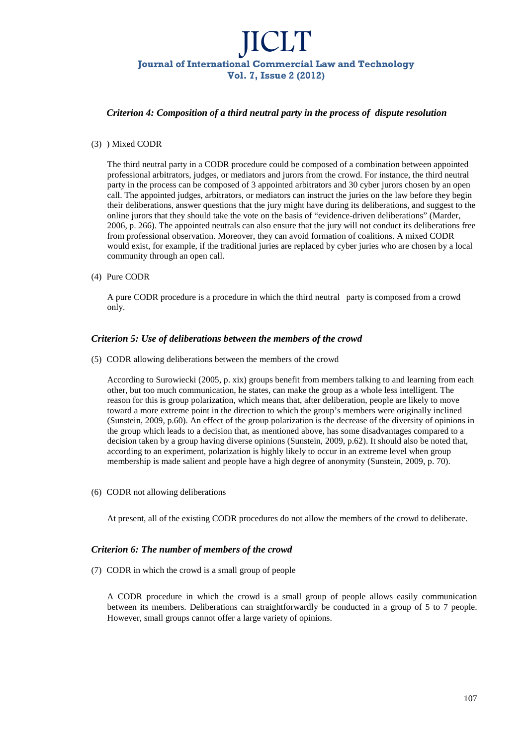### *Criterion 4: Composition of a third neutral party in the process of dispute resolution*

#### (3) ) Mixed CODR

The third neutral party in a CODR procedure could be composed of a combination between appointed professional arbitrators, judges, or mediators and jurors from the crowd. For instance, the third neutral party in the process can be composed of 3 appointed arbitrators and 30 cyber jurors chosen by an open call. The appointed judges, arbitrators, or mediators can instruct the juries on the law before they begin their deliberations, answer questions that the jury might have during its deliberations, and suggest to the online jurors that they should take the vote on the basis of "evidence-driven deliberations" (Marder, 2006, p. 266). The appointed neutrals can also ensure that the jury will not conduct its deliberations free from professional observation. Moreover, they can avoid formation of coalitions. A mixed CODR would exist, for example, if the traditional juries are replaced by cyber juries who are chosen by a local community through an open call.

(4) Pure CODR

A pure CODR procedure is a procedure in which the third neutral party is composed from a crowd only.

### *Criterion 5: Use of deliberations between the members of the crowd*

(5) CODR allowing deliberations between the members of the crowd

According to Surowiecki (2005, p. xix) groups benefit from members talking to and learning from each other, but too much communication, he states, can make the group as a whole less intelligent. The reason for this is group polarization, which means that, after deliberation, people are likely to move toward a more extreme point in the direction to which the group's members were originally inclined (Sunstein, 2009, p.60). An effect of the group polarization is the decrease of the diversity of opinions in the group which leads to a decision that, as mentioned above, has some disadvantages compared to a decision taken by a group having diverse opinions (Sunstein, 2009, p.62). It should also be noted that, according to an experiment, polarization is highly likely to occur in an extreme level when group membership is made salient and people have a high degree of anonymity (Sunstein, 2009, p. 70).

(6) CODR not allowing deliberations

At present, all of the existing CODR procedures do not allow the members of the crowd to deliberate.

### *Criterion 6: The number of members of the crowd*

(7) CODR in which the crowd is a small group of people

A CODR procedure in which the crowd is a small group of people allows easily communication between its members. Deliberations can straightforwardly be conducted in a group of 5 to 7 people. However, small groups cannot offer a large variety of opinions.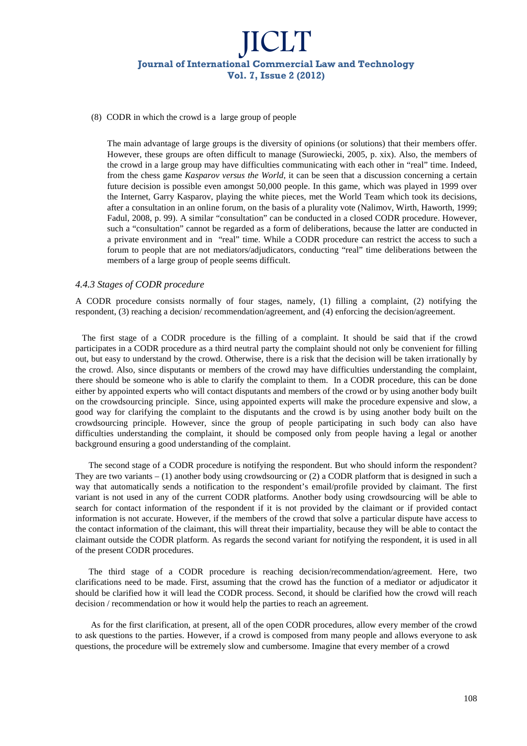#### (8) CODR in which the crowd is a large group of people

The main advantage of large groups is the diversity of opinions (or solutions) that their members offer. However, these groups are often difficult to manage (Surowiecki, 2005, p. xix). Also, the members of the crowd in a large group may have difficulties communicating with each other in "real" time. Indeed, from the chess game *Kasparov versus the World*, it can be seen that a discussion concerning a certain future decision is possible even amongst 50,000 people. In this game, which was played in 1999 over the Internet, Garry Kasparov, playing the white pieces, met the World Team which took its decisions, after a consultation in an online forum, on the basis of a plurality vote (Nalimov, Wirth, Haworth, 1999; Fadul, 2008, p. 99). A similar "consultation" can be conducted in a closed CODR procedure. However, such a "consultation" cannot be regarded as a form of deliberations, because the latter are conducted in a private environment and in "real" time. While a CODR procedure can restrict the access to such a forum to people that are not mediators/adjudicators, conducting "real" time deliberations between the members of a large group of people seems difficult.

#### *4.4.3 Stages of CODR procedure*

A CODR procedure consists normally of four stages, namely, (1) filling a complaint, (2) notifying the respondent, (3) reaching a decision/ recommendation/agreement, and (4) enforcing the decision/agreement.

 The first stage of a CODR procedure is the filling of a complaint. It should be said that if the crowd participates in a CODR procedure as a third neutral party the complaint should not only be convenient for filling out, but easy to understand by the crowd. Otherwise, there is a risk that the decision will be taken irrationally by the crowd. Also, since disputants or members of the crowd may have difficulties understanding the complaint, there should be someone who is able to clarify the complaint to them. In a CODR procedure, this can be done either by appointed experts who will contact disputants and members of the crowd or by using another body built on the crowdsourcing principle. Since, using appointed experts will make the procedure expensive and slow, a good way for clarifying the complaint to the disputants and the crowd is by using another body built on the crowdsourcing principle. However, since the group of people participating in such body can also have difficulties understanding the complaint, it should be composed only from people having a legal or another background ensuring a good understanding of the complaint.

The second stage of a CODR procedure is notifying the respondent. But who should inform the respondent? They are two variants  $- (1)$  another body using crowdsourcing or  $(2)$  a CODR platform that is designed in such a way that automatically sends a notification to the respondent's email/profile provided by claimant. The first variant is not used in any of the current CODR platforms. Another body using crowdsourcing will be able to search for contact information of the respondent if it is not provided by the claimant or if provided contact information is not accurate. However, if the members of the crowd that solve a particular dispute have access to the contact information of the claimant, this will threat their impartiality, because they will be able to contact the claimant outside the CODR platform. As regards the second variant for notifying the respondent, it is used in all of the present CODR procedures.

The third stage of a CODR procedure is reaching decision/recommendation/agreement. Here, two clarifications need to be made. First, assuming that the crowd has the function of a mediator or adjudicator it should be clarified how it will lead the CODR process. Second, it should be clarified how the crowd will reach decision / recommendation or how it would help the parties to reach an agreement.

 As for the first clarification, at present, all of the open CODR procedures, allow every member of the crowd to ask questions to the parties. However, if a crowd is composed from many people and allows everyone to ask questions, the procedure will be extremely slow and cumbersome. Imagine that every member of a crowd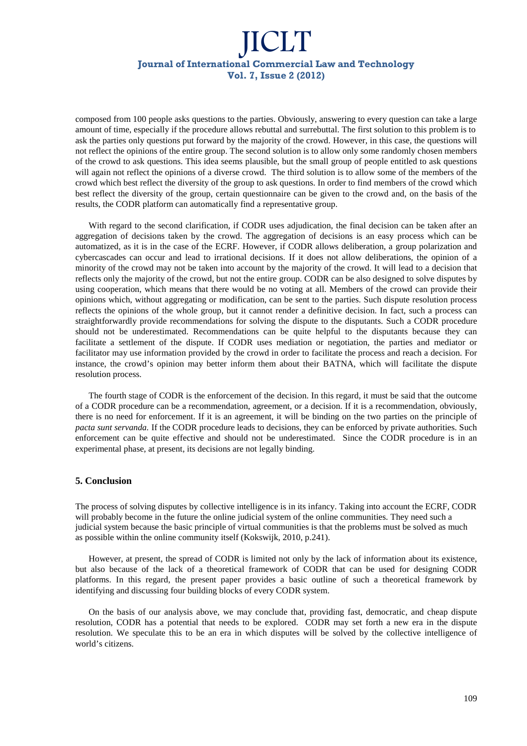composed from 100 people asks questions to the parties. Obviously, answering to every question can take a large amount of time, especially if the procedure allows rebuttal and surrebuttal. The first solution to this problem is to ask the parties only questions put forward by the majority of the crowd. However, in this case, the questions will not reflect the opinions of the entire group. The second solution is to allow only some randomly chosen members of the crowd to ask questions. This idea seems plausible, but the small group of people entitled to ask questions will again not reflect the opinions of a diverse crowd. The third solution is to allow some of the members of the crowd which best reflect the diversity of the group to ask questions. In order to find members of the crowd which best reflect the diversity of the group, certain questionnaire can be given to the crowd and, on the basis of the results, the CODR platform can automatically find a representative group.

With regard to the second clarification, if CODR uses adjudication, the final decision can be taken after an aggregation of decisions taken by the crowd. The aggregation of decisions is an easy process which can be automatized, as it is in the case of the ECRF. However, if CODR allows deliberation, a group polarization and cybercascades can occur and lead to irrational decisions. If it does not allow deliberations, the opinion of a minority of the crowd may not be taken into account by the majority of the crowd. It will lead to a decision that reflects only the majority of the crowd, but not the entire group. CODR can be also designed to solve disputes by using cooperation, which means that there would be no voting at all. Members of the crowd can provide their opinions which, without aggregating or modification, can be sent to the parties. Such dispute resolution process reflects the opinions of the whole group, but it cannot render a definitive decision. In fact, such a process can straightforwardly provide recommendations for solving the dispute to the disputants. Such a CODR procedure should not be underestimated. Recommendations can be quite helpful to the disputants because they can facilitate a settlement of the dispute. If CODR uses mediation or negotiation, the parties and mediator or facilitator may use information provided by the crowd in order to facilitate the process and reach a decision. For instance, the crowd's opinion may better inform them about their BATNA, which will facilitate the dispute resolution process.

The fourth stage of CODR is the enforcement of the decision. In this regard, it must be said that the outcome of a CODR procedure can be a recommendation, agreement, or a decision. If it is a recommendation, obviously, there is no need for enforcement. If it is an agreement, it will be binding on the two parties on the principle of *pacta sunt servanda.* If the CODR procedure leads to decisions, they can be enforced by private authorities. Such enforcement can be quite effective and should not be underestimated. Since the CODR procedure is in an experimental phase, at present, its decisions are not legally binding.

### **5. Conclusion**

The process of solving disputes by collective intelligence is in its infancy. Taking into account the ECRF, CODR will probably become in the future the online judicial system of the online communities. They need such a judicial system because the basic principle of virtual communities is that the problems must be solved as much as possible within the online community itself (Kokswijk, 2010, p.241).

However, at present, the spread of CODR is limited not only by the lack of information about its existence, but also because of the lack of a theoretical framework of CODR that can be used for designing CODR platforms. In this regard, the present paper provides a basic outline of such a theoretical framework by identifying and discussing four building blocks of every CODR system.

On the basis of our analysis above, we may conclude that, providing fast, democratic, and cheap dispute resolution, CODR has a potential that needs to be explored. CODR may set forth a new era in the dispute resolution. We speculate this to be an era in which disputes will be solved by the collective intelligence of world's citizens.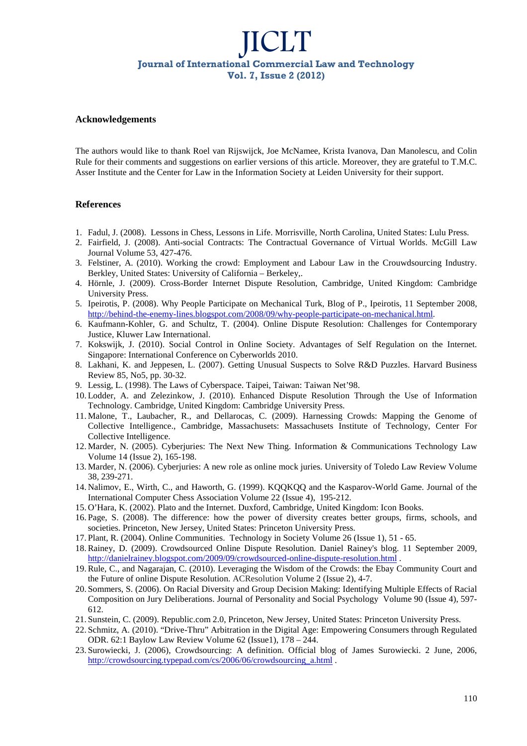#### **Acknowledgements**

The authors would like to thank Roel van Rijswijck, Joe McNamee, Krista Ivanova, Dan Manolescu, and Colin Rule for their comments and suggestions on earlier versions of this article. Moreover, they are grateful to T.M.C. Asser Institute and the Center for Law in the Information Society at Leiden University for their support.

### **References**

- 1. Fadul, J. (2008). Lessons in Chess, Lessons in Life. Morrisville, North Carolina, United States: Lulu Press.
- 2. Fairfield, J. (2008). Anti-social Contracts: The Contractual Governance of Virtual Worlds. McGill Law Journal Volume 53, 427-476.
- 3. Felstiner, A. (2010). Working the crowd: Employment and Labour Law in the Crouwdsourcing Industry. Berkley, United States: University of California – Berkeley,.
- 4. Hörnle, J. (2009). Cross-Border Internet Dispute Resolution, Cambridge, United Kingdom: Cambridge University Press.
- 5. Ipeirotis, P. (2008). Why People Participate on Mechanical Turk, Blog of P., Ipeirotis, 11 September 2008, http://behind-the-enemy-lines.blogspot.com/2008/09/why-people-participate-on-mechanical.html.
- 6. Kaufmann-Kohler, G. and Schultz, T. (2004). Online Dispute Resolution: Challenges for Contemporary Justice, Kluwer Law International.
- 7. Kokswijk, J. (2010). Social Control in Online Society. Advantages of Self Regulation on the Internet. Singapore: International Conference on Cyberworlds 2010.
- 8. Lakhani, K. and Jeppesen, L. (2007). Getting Unusual Suspects to Solve R&D Puzzles. Harvard Business Review 85, No5, pp. 30-32.
- 9. Lessig, L. (1998). The Laws of Cyberspace. Taipei, Taiwan: Taiwan Net'98.
- 10. Lodder, A. and Zelezinkow, J. (2010). Enhanced Dispute Resolution Through the Use of Information Technology. Cambridge, United Kingdom: Cambridge University Press.
- 11. Malone, T., Laubacher, R., and Dellarocas, C. (2009). Harnessing Crowds: Mapping the Genome of Collective Intelligence., Cambridge, Massachusets: Massachusets Institute of Technology, Center For Collective Intelligence.
- 12. Marder, N. (2005). Cyberjuries: The Next New Thing. Information & Communications Technology Law Volume 14 (Issue 2), 165-198.
- 13. Marder, N. (2006). Cyberjuries: A new role as online mock juries. University of Toledo Law Review Volume 38*,* 239-271.
- 14. Nalimov, E., Wirth, C., and Haworth, G. (1999). KQQKQQ and the Kasparov-World Game. Journal of the International Computer Chess Association Volume 22 (Issue 4), 195-212.
- 15. O'Hara, K. (2002). Plato and the Internet. Duxford, Cambridge, United Kingdom: Icon Books.
- 16. Page, S. (2008). The difference: how the power of diversity creates better groups, firms, schools, and societies. Princeton, New Jersey, United States: Princeton University Press.
- 17. Plant, R. (2004). Online Communities. Technology in Society Volume 26 (Issue 1), 51 65.
- 18.Rainey, D. (2009). Crowdsourced Online Dispute Resolution. Daniel Rainey's blog. 11 September 2009, http://danielrainey.blogspot.com/2009/09/crowdsourced-online-dispute-resolution.html .
- 19.Rule, C., and Nagarajan, C. (2010). Leveraging the Wisdom of the Crowds: the Ebay Community Court and the Future of online Dispute Resolution. ACResolution Volume 2 (Issue 2), 4-7.
- 20. Sommers, S. (2006). On Racial Diversity and Group Decision Making: Identifying Multiple Effects of Racial Composition on Jury Deliberations. Journal of Personality and Social Psychology Volume 90 (Issue 4), 597- 612.
- 21. Sunstein, C. (2009). Republic.com 2.0, Princeton, New Jersey, United States: Princeton University Press.
- 22. Schmitz, A. (2010). "Drive-Thru" Arbitration in the Digital Age: Empowering Consumers through Regulated ODR. 62:1 Baylow Law Review Volume 62 (Issue1), 178 – 244.
- 23. Surowiecki, J. (2006), Crowdsourcing: A definition. Official blog of James Surowiecki. 2 June, 2006, http://crowdsourcing.typepad.com/cs/2006/06/crowdsourcing a.html.